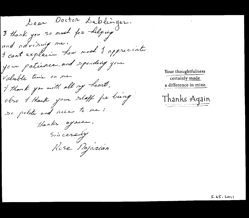Dear Ooctor Deblinger. I thank you so much for helping and advising me. I cant explain how much I appreciate your patience, and spending your Valuble time on me. I thank you with all my heart, obso I thank your sloff for bung so polite and nice to me: Thanks again. Sincerely Rose Najarian

Your thoughtfulness certainly made a difference in mine.

Thanks Aqain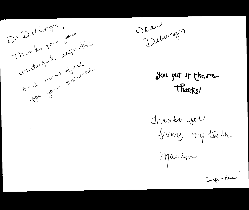

 $\label{eq:2.1} \mathcal{L}(\mathcal{L}(\mathcal{L})) = \mathcal{L}(\mathcal{L}(\mathcal{L})) = \mathcal{L}(\mathcal{L}(\mathcal{L})) = \mathcal{L}(\mathcal{L}(\mathcal{L}))$  $\mathcal{L}(\mathcal{L})$  and  $\mathcal{L}(\mathcal{L})$  and  $\mathcal{L}(\mathcal{L})$  and  $\mathcal{L}(\mathcal{L})$  and  $\mathcal{L}(\mathcal{L})$ 

Dear Deblevages

you put it there. Thanks!

Thanks for<br>Bixing my tooth

Marilyn

Carge-Rese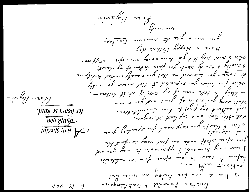For the 
$$
n
$$
 and  $n$  is a  $n$  and  $n$  is a  $n$  and  $n$  is a  $n$  and  $n$  is a  $n$  and  $n$  is a  $n$  and  $n$  is a  $n$  and  $n$  is a  $n$  and  $n$  is a  $n$  and  $n$  is a  $n$  and  $n$  is a  $n$  and  $n$  is a  $n$  and  $n$  is a  $n$  and  $n$  is a  $n$  and  $n$  is a  $n$  and  $n$  is a  $n$  and  $n$  is a  $n$  and  $n$  is a  $n$  and  $n$  is a  $n$  and  $n$  is a  $n$  and  $n$  is a  $n$  and  $n$  is a  $n$  and  $n$  is a  $n$  and  $n$  is a  $n$  and  $n$  is a  $n$  and  $n$  is a  $n$  and  $n$  is a  $n$  and  $n$  is a  $n$  and  $n$  is a  $n$  and  $n$  is a  $n$  and  $n$  is a  $n$  and  $n$  is a  $n$  and  $n$  is a  $n$  and  $n$  is a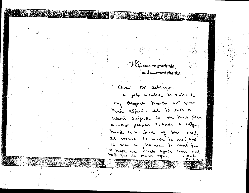With sincere gratitude and warmest thanks.

Dear Dr. Rebringer, I just wanted to chend my deepest thanks for your Kind effort. It is such a Warm Swelite to the heart when another person extends a helping hand in a time of the need. It meent so much to me and it was a preasure to meet you. I happe we make again soon and hark you so muss again.  $Sinklup$ ,  $Dx \cdot linv$ ,  $Dx$ .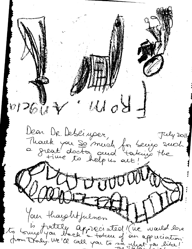$\psi$   $\widetilde{\psi}$ Dean Dr. Debeinger, July 2011 Mauch pour se murch for being suich<br>a sucat doctor and tortuis the  $200000$ Wright Jour thoughtfulness to bruig factule appreciated (le would love